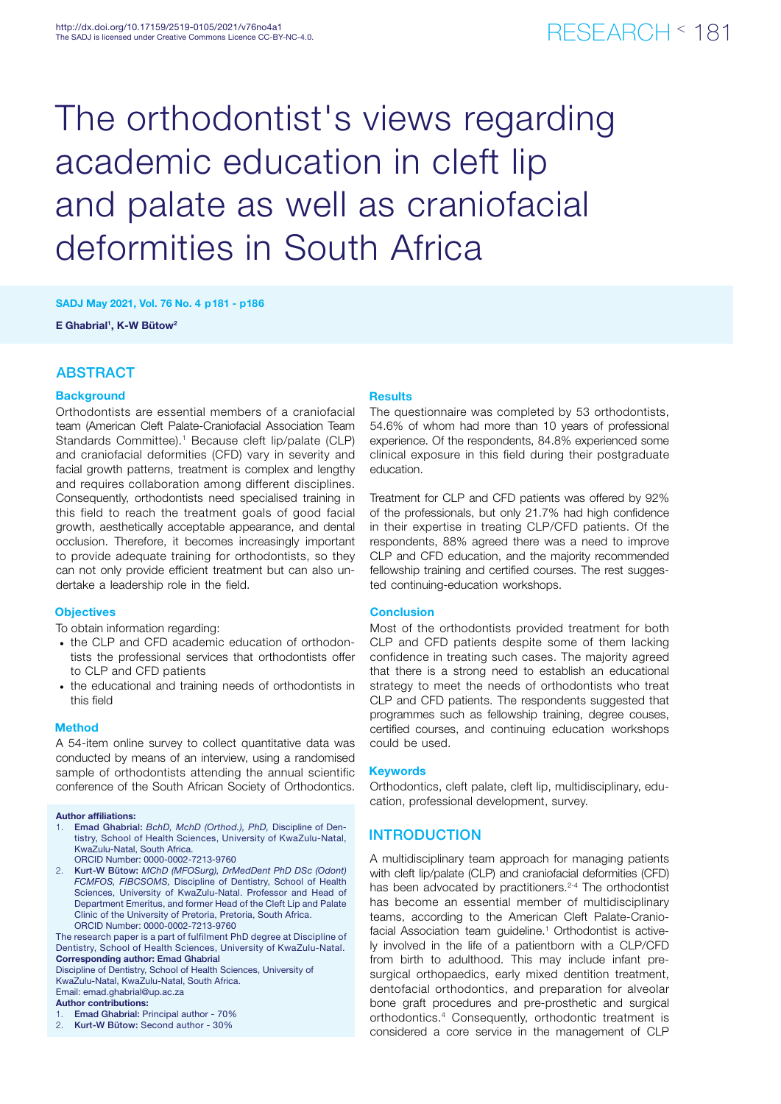# The orthodontist's views regarding academic education in cleft lip and palate as well as craniofacial deformities in South Africa

SADJ May 2021, Vol. 76 No. 4 p181 - p186

E Ghabrial<sup>1</sup>, K-W Bütow<sup>2</sup>

### ABSTRACT

### **Background**

Orthodontists are essential members of a craniofacial team (American Cleft Palate-Craniofacial Association Team Standards Committee).<sup>1</sup> Because cleft lip/palate (CLP) and craniofacial deformities (CFD) vary in severity and facial growth patterns, treatment is complex and lengthy and requires collaboration among different disciplines. Consequently, orthodontists need specialised training in this field to reach the treatment goals of good facial growth, aesthetically acceptable appearance, and dental occlusion. Therefore, it becomes increasingly important to provide adequate training for orthodontists, so they can not only provide efficient treatment but can also undertake a leadership role in the field.

### **Objectives**

To obtain information regarding:

- the CLP and CFD academic education of orthodontists the professional services that orthodontists offer to CLP and CFD patients
- the educational and training needs of orthodontists in this field

### **Method**

A 54-item online survey to collect quantitative data was conducted by means of an interview, using a randomised sample of orthodontists attending the annual scientific conference of the South African Society of Orthodontics.

#### Author affiliations:

- 1. Emad Ghabrial: *BchD, MchD (Orthod.), PhD,* Discipline of Dentistry, School of Health Sciences, University of KwaZulu-Natal, KwaZulu-Natal, South Africa. ORCID Number: 0000-0002-7213-9760
- 2. Kurt-W Bütow: *MChD (MFOSurg), DrMedDent PhD DSc (Odont) FCMFOS, FIBCSOMS,* Discipline of Dentistry, School of Health Sciences, University of KwaZulu-Natal. Professor and Head of Department Emeritus, and former Head of the Cleft Lip and Palate Clinic of the University of Pretoria, Pretoria, South Africa. ORCID Number: 0000-0002-7213-9760

The research paper is a part of fulfilment PhD degree at Discipline of Dentistry, School of Health Sciences, University of KwaZulu-Natal. Corresponding author: Emad Ghabrial

Discipline of Dentistry, School of Health Sciences, University of KwaZulu-Natal, KwaZulu-Natal, South Africa. Email: emad.ghabrial@up.ac.za

#### Author contributions:

- Emad Ghabrial: Principal author 70%
- 2. Kurt-W Bütow: Second author 30%

### Results

The questionnaire was completed by 53 orthodontists, 54.6% of whom had more than 10 years of professional experience. Of the respondents, 84.8% experienced some clinical exposure in this field during their postgraduate education.

Treatment for CLP and CFD patients was offered by 92% of the professionals, but only 21.7% had high confidence in their expertise in treating CLP/CFD patients. Of the respondents, 88% agreed there was a need to improve CLP and CFD education, and the majority recommended fellowship training and certified courses. The rest suggested continuing-education workshops.

### **Conclusion**

Most of the orthodontists provided treatment for both CLP and CFD patients despite some of them lacking confidence in treating such cases. The majority agreed that there is a strong need to establish an educational strategy to meet the needs of orthodontists who treat CLP and CFD patients. The respondents suggested that programmes such as fellowship training, degree couses, certified courses, and continuing education workshops could be used.

### Keywords

Orthodontics, cleft palate, cleft lip, multidisciplinary, education, professional development, survey.

### **INTRODUCTION**

A multidisciplinary team approach for managing patients with cleft lip/palate (CLP) and craniofacial deformities (CFD) has been advocated by practitioners.<sup>2-4</sup> The orthodontist has become an essential member of multidisciplinary teams, according to the American Cleft Palate-Craniofacial Association team guideline.<sup>1</sup> Orthodontist is actively involved in the life of a patientborn with a CLP/CFD from birth to adulthood. This may include infant presurgical orthopaedics, early mixed dentition treatment, dentofacial orthodontics, and preparation for alveolar bone graft procedures and pre-prosthetic and surgical orthodontics.4 Consequently, orthodontic treatment is considered a core service in the management of CLP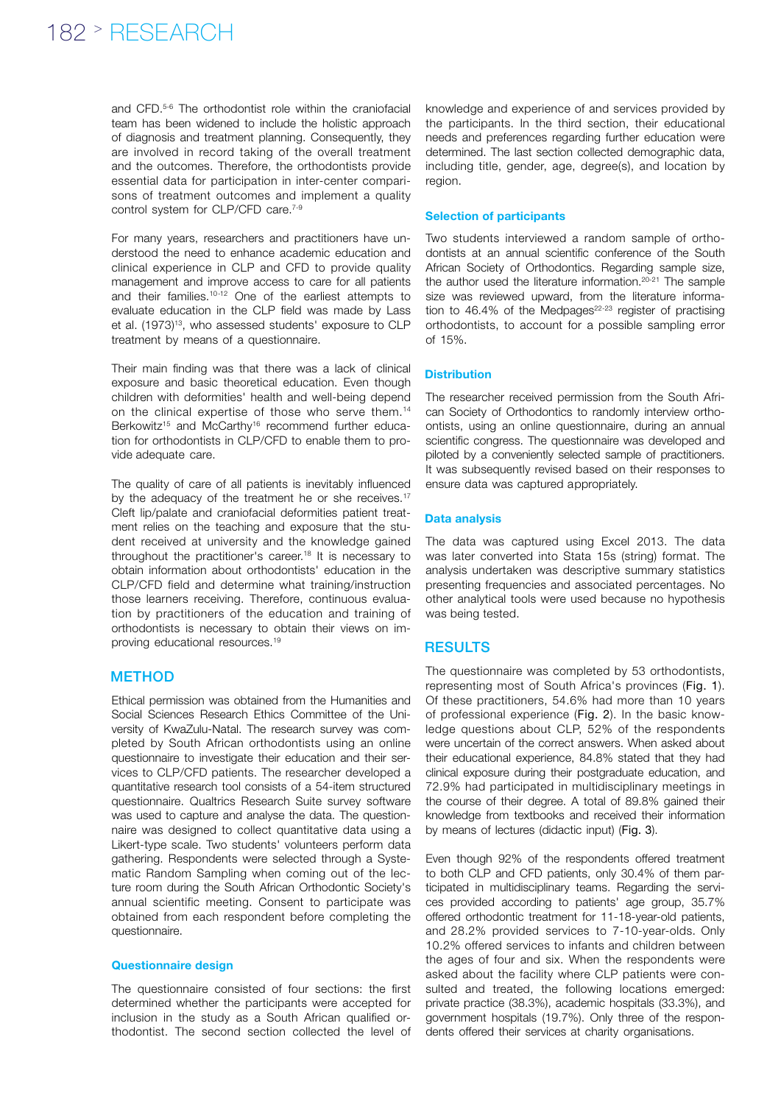### 182 > RESEARCH

and CFD.5-6 The orthodontist role within the craniofacial team has been widened to include the holistic approach of diagnosis and treatment planning. Consequently, they are involved in record taking of the overall treatment and the outcomes. Therefore, the orthodontists provide essential data for participation in inter-center comparisons of treatment outcomes and implement a quality control system for CLP/CFD care.<sup>7-9</sup>

For many years, researchers and practitioners have understood the need to enhance academic education and clinical experience in CLP and CFD to provide quality management and improve access to care for all patients and their families.10-12 One of the earliest attempts to evaluate education in the CLP field was made by Lass et al. (1973)<sup>13</sup>, who assessed students' exposure to CLP treatment by means of a questionnaire.

Their main finding was that there was a lack of clinical exposure and basic theoretical education. Even though children with deformities' health and well-being depend on the clinical expertise of those who serve them.<sup>14</sup> Berkowitz<sup>15</sup> and McCarthy<sup>16</sup> recommend further education for orthodontists in CLP/CFD to enable them to provide adequate care.

The quality of care of all patients is inevitably influenced by the adequacy of the treatment he or she receives.<sup>17</sup> Cleft lip/palate and craniofacial deformities patient treatment relies on the teaching and exposure that the student received at university and the knowledge gained throughout the practitioner's career.<sup>18</sup> It is necessary to obtain information about orthodontists' education in the CLP/CFD field and determine what training/instruction those learners receiving. Therefore, continuous evaluation by practitioners of the education and training of orthodontists is necessary to obtain their views on improving educational resources.19

### **METHOD**

Ethical permission was obtained from the Humanities and Social Sciences Research Ethics Committee of the University of KwaZulu-Natal. The research survey was completed by South African orthodontists using an online questionnaire to investigate their education and their services to CLP/CFD patients. The researcher developed a quantitative research tool consists of a 54-item structured questionnaire. Qualtrics Research Suite survey software was used to capture and analyse the data. The questionnaire was designed to collect quantitative data using a Likert-type scale. Two students' volunteers perform data gathering. Respondents were selected through a Systematic Random Sampling when coming out of the lecture room during the South African Orthodontic Society's annual scientific meeting. Consent to participate was obtained from each respondent before completing the questionnaire.

### Questionnaire design

The questionnaire consisted of four sections: the first determined whether the participants were accepted for inclusion in the study as a South African qualified orthodontist. The second section collected the level of

knowledge and experience of and services provided by the participants. In the third section, their educational needs and preferences regarding further education were determined. The last section collected demographic data, including title, gender, age, degree(s), and location by region.

### Selection of participants

Two students interviewed a random sample of orthodontists at an annual scientific conference of the South African Society of Orthodontics. Regarding sample size, the author used the literature information.20-21 The sample size was reviewed upward, from the literature information to 46.4% of the Medpages $22-23$  register of practising orthodontists, to account for a possible sampling error of 15%.

### **Distribution**

The researcher received permission from the South African Society of Orthodontics to randomly interview orthoontists, using an online questionnaire, during an annual scientific congress. The questionnaire was developed and piloted by a conveniently selected sample of practitioners. It was subsequently revised based on their responses to ensure data was captured appropriately.

### Data analysis

The data was captured using Excel 2013. The data was later converted into Stata 15s (string) format. The analysis undertaken was descriptive summary statistics presenting frequencies and associated percentages. No other analytical tools were used because no hypothesis was being tested.

### RESULTS

The questionnaire was completed by 53 orthodontists, representing most of South Africa's provinces (Fig. 1). Of these practitioners, 54.6% had more than 10 years of professional experience (Fig. 2). In the basic knowledge questions about CLP, 52% of the respondents were uncertain of the correct answers. When asked about their educational experience, 84.8% stated that they had clinical exposure during their postgraduate education, and 72.9% had participated in multidisciplinary meetings in the course of their degree. A total of 89.8% gained their knowledge from textbooks and received their information by means of lectures (didactic input) (Fig. 3).

Even though 92% of the respondents offered treatment to both CLP and CFD patients, only 30.4% of them participated in multidisciplinary teams. Regarding the services provided according to patients' age group, 35.7% offered orthodontic treatment for 11-18-year-old patients, and 28.2% provided services to 7-10-year-olds. Only 10.2% offered services to infants and children between the ages of four and six. When the respondents were asked about the facility where CLP patients were consulted and treated, the following locations emerged: private practice (38.3%), academic hospitals (33.3%), and government hospitals (19.7%). Only three of the respondents offered their services at charity organisations.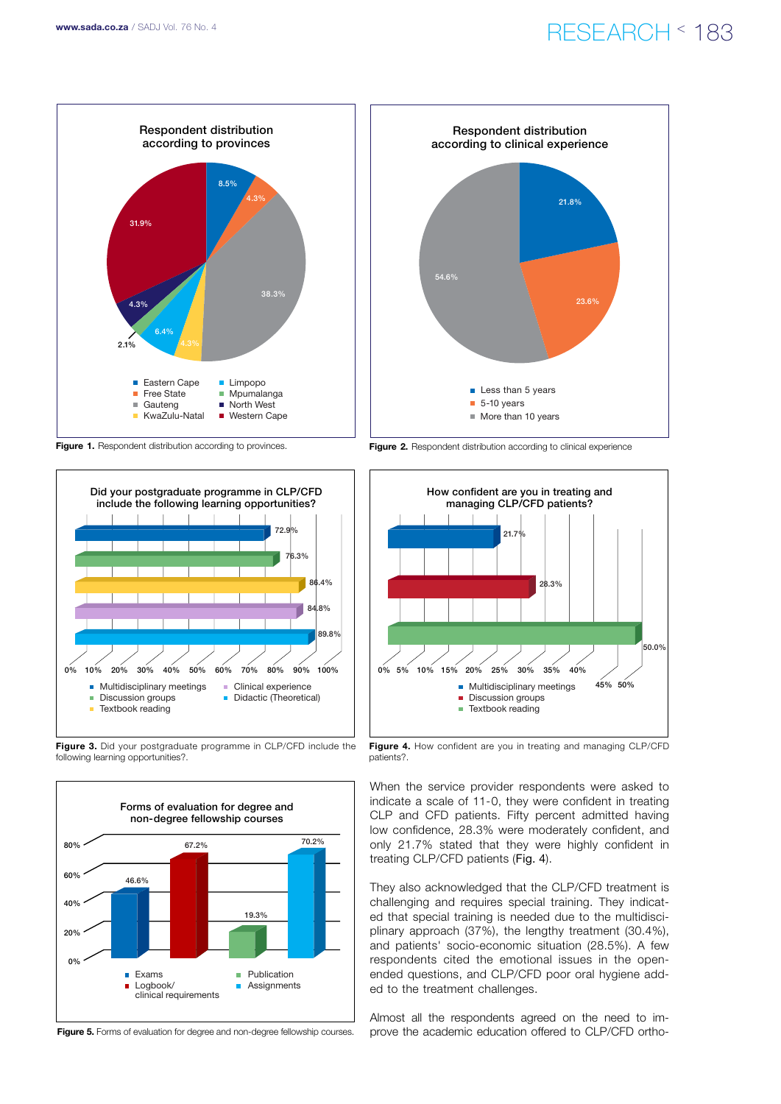### www.sada.co.za / SADJ Vol. 76 No. 4  $RFSFARTH \leq 183$



Figure 1. Respondent distribution according to provinces.



Figure 3. Did your postgraduate programme in CLP/CFD include the following learning opportunities?.



Figure 5. Forms of evaluation for degree and non-degree fellowship courses.



Figure 2. Respondent distribution according to clinical experience



Figure 4. How confident are you in treating and managing CLP/CFD patients?.

When the service provider respondents were asked to indicate a scale of 11-0, they were confident in treating CLP and CFD patients. Fifty percent admitted having low confidence, 28.3% were moderately confident, and only 21.7% stated that they were highly confident in treating CLP/CFD patients (Fig. 4).

They also acknowledged that the CLP/CFD treatment is challenging and requires special training. They indicated that special training is needed due to the multidisciplinary approach (37%), the lengthy treatment (30.4%), and patients' socio-economic situation (28.5%). A few respondents cited the emotional issues in the openended questions, and CLP/CFD poor oral hygiene added to the treatment challenges.

Almost all the respondents agreed on the need to improve the academic education offered to CLP/CFD ortho-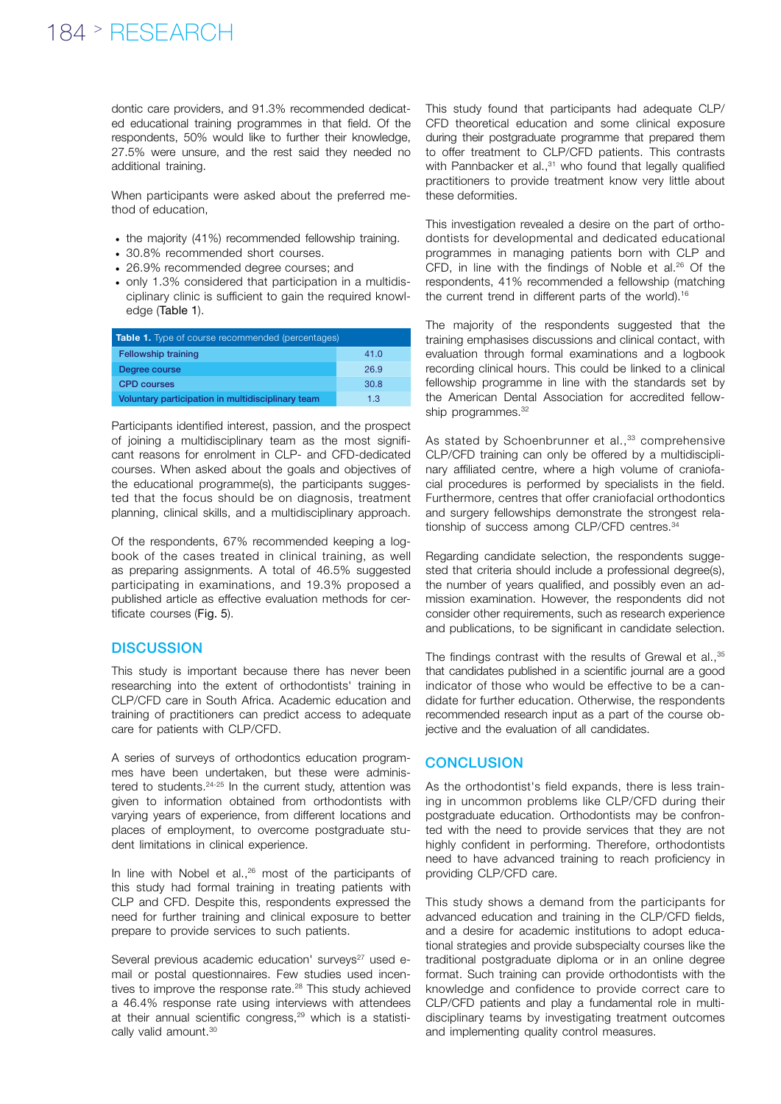### 184 > RESEARCH

dontic care providers, and 91.3% recommended dedicated educational training programmes in that field. Of the respondents, 50% would like to further their knowledge, 27.5% were unsure, and the rest said they needed no additional training.

When participants were asked about the preferred method of education,

- the majority (41%) recommended fellowship training.
- 30.8% recommended short courses.
- 26.9% recommended degree courses; and
- only 1.3% considered that participation in a multidisciplinary clinic is sufficient to gain the required knowledge (Table 1).

| Table 1. Type of course recommended (percentages) |      |
|---------------------------------------------------|------|
| <b>Fellowship training</b>                        | 41.0 |
| Degree course                                     | 26.9 |
| <b>CPD</b> courses                                | 30.8 |
| Voluntary participation in multidisciplinary team | 1.3  |

Participants identified interest, passion, and the prospect of joining a multidisciplinary team as the most significant reasons for enrolment in CLP- and CFD-dedicated courses. When asked about the goals and objectives of the educational programme(s), the participants suggested that the focus should be on diagnosis, treatment planning, clinical skills, and a multidisciplinary approach.

Of the respondents, 67% recommended keeping a logbook of the cases treated in clinical training, as well as preparing assignments. A total of 46.5% suggested participating in examinations, and 19.3% proposed a published article as effective evaluation methods for certificate courses (Fig. 5).

### **DISCUSSION**

This study is important because there has never been researching into the extent of orthodontists' training in CLP/CFD care in South Africa. Academic education and training of practitioners can predict access to adequate care for patients with CLP/CFD.

A series of surveys of orthodontics education programmes have been undertaken, but these were administered to students.24-25 In the current study, attention was given to information obtained from orthodontists with varying years of experience, from different locations and places of employment, to overcome postgraduate student limitations in clinical experience.

In line with Nobel et al., $26$  most of the participants of this study had formal training in treating patients with CLP and CFD. Despite this, respondents expressed the need for further training and clinical exposure to better prepare to provide services to such patients.

Several previous academic education' surveys<sup>27</sup> used email or postal questionnaires. Few studies used incentives to improve the response rate.<sup>28</sup> This study achieved a 46.4% response rate using interviews with attendees at their annual scientific congress,<sup>29</sup> which is a statistically valid amount.<sup>30</sup>

This study found that participants had adequate CLP/ CFD theoretical education and some clinical exposure during their postgraduate programme that prepared them to offer treatment to CLP/CFD patients. This contrasts with Pannbacker et al.,<sup>31</sup> who found that legally qualified practitioners to provide treatment know very little about these deformities.

This investigation revealed a desire on the part of orthodontists for developmental and dedicated educational programmes in managing patients born with CLP and CFD, in line with the findings of Noble et al.26 Of the respondents, 41% recommended a fellowship (matching the current trend in different parts of the world).<sup>16</sup>

The majority of the respondents suggested that the training emphasises discussions and clinical contact, with evaluation through formal examinations and a logbook recording clinical hours. This could be linked to a clinical fellowship programme in line with the standards set by the American Dental Association for accredited fellowship programmes.<sup>32</sup>

As stated by Schoenbrunner et al.,<sup>33</sup> comprehensive CLP/CFD training can only be offered by a multidisciplinary affiliated centre, where a high volume of craniofacial procedures is performed by specialists in the field. Furthermore, centres that offer craniofacial orthodontics and surgery fellowships demonstrate the strongest relationship of success among CLP/CFD centres.34

Regarding candidate selection, the respondents suggested that criteria should include a professional degree(s). the number of years qualified, and possibly even an admission examination. However, the respondents did not consider other requirements, such as research experience and publications, to be significant in candidate selection.

The findings contrast with the results of Grewal et al., 35 that candidates published in a scientific journal are a good indicator of those who would be effective to be a candidate for further education. Otherwise, the respondents recommended research input as a part of the course objective and the evaluation of all candidates.

### **CONCLUSION**

As the orthodontist's field expands, there is less training in uncommon problems like CLP/CFD during their postgraduate education. Orthodontists may be confronted with the need to provide services that they are not highly confident in performing. Therefore, orthodontists need to have advanced training to reach proficiency in providing CLP/CFD care.

This study shows a demand from the participants for advanced education and training in the CLP/CFD fields, and a desire for academic institutions to adopt educational strategies and provide subspecialty courses like the traditional postgraduate diploma or in an online degree format. Such training can provide orthodontists with the knowledge and confidence to provide correct care to CLP/CFD patients and play a fundamental role in multidisciplinary teams by investigating treatment outcomes and implementing quality control measures.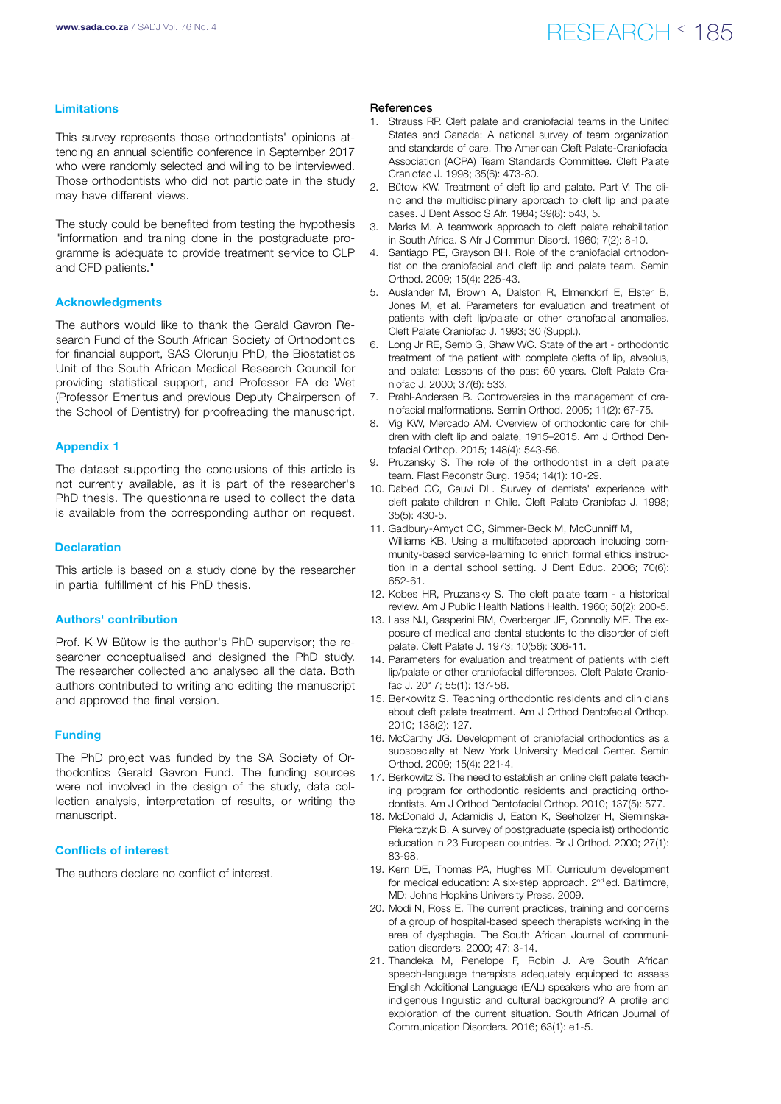### www.sada.co.za / SADJ Vol. 76 No. 4  $RFSFARTH \leq 185$

### Limitations

This survey represents those orthodontists' opinions attending an annual scientific conference in September 2017 who were randomly selected and willing to be interviewed. Those orthodontists who did not participate in the study may have different views.

The study could be benefited from testing the hypothesis "information and training done in the postgraduate programme is adequate to provide treatment service to CLP and CFD patients."

### Acknowledgments

The authors would like to thank the Gerald Gavron Research Fund of the South African Society of Orthodontics for financial support, SAS Olorunju PhD, the Biostatistics Unit of the South African Medical Research Council for providing statistical support, and Professor FA de Wet (Professor Emeritus and previous Deputy Chairperson of the School of Dentistry) for proofreading the manuscript.

#### Appendix 1

The dataset supporting the conclusions of this article is not currently available, as it is part of the researcher's PhD thesis. The questionnaire used to collect the data is available from the corresponding author on request.

#### **Declaration**

This article is based on a study done by the researcher in partial fulfillment of his PhD thesis.

### Authors' contribution

Prof. K-W Bütow is the author's PhD supervisor; the researcher conceptualised and designed the PhD study. The researcher collected and analysed all the data. Both authors contributed to writing and editing the manuscript and approved the final version.

#### Funding

The PhD project was funded by the SA Society of Orthodontics Gerald Gavron Fund. The funding sources were not involved in the design of the study, data collection analysis, interpretation of results, or writing the manuscript.

### Conflicts of interest

The authors declare no conflict of interest.

### References

- 1. Strauss RP. Cleft palate and craniofacial teams in the United States and Canada: A national survey of team organization and standards of care. The American Cleft Palate-Craniofacial Association (ACPA) Team Standards Committee. Cleft Palate Craniofac J. 1998; 35(6): 473-80.
- 2. Bütow KW. Treatment of cleft lip and palate. Part V: The clinic and the multidisciplinary approach to cleft lip and palate cases. J Dent Assoc S Afr. 1984; 39(8): 543, 5.
- 3. Marks M. A teamwork approach to cleft palate rehabilitation in South Africa. S Afr J Commun Disord. 1960; 7(2): 8-10.
- 4. Santiago PE, Grayson BH. Role of the craniofacial orthodontist on the craniofacial and cleft lip and palate team. Semin Orthod. 2009; 15(4): 225-43.
- 5. Auslander M, Brown A, Dalston R, Elmendorf E, Elster B, Jones M, et al. Parameters for evaluation and treatment of patients with cleft lip/palate or other cranofacial anomalies. Cleft Palate Craniofac J. 1993; 30 (Suppl.).
- 6. Long Jr RE, Semb G, Shaw WC. State of the art orthodontic treatment of the patient with complete clefts of lip, alveolus, and palate: Lessons of the past 60 years. Cleft Palate Craniofac J. 2000; 37(6): 533.
- 7. Prahl-Andersen B. Controversies in the management of craniofacial malformations. Semin Orthod. 2005; 11(2): 67-75.
- 8. Vig KW, Mercado AM. Overview of orthodontic care for children with cleft lip and palate, 1915–2015. Am J Orthod Dentofacial Orthop. 2015; 148(4): 543-56.
- Pruzansky S. The role of the orthodontist in a cleft palate team. Plast Reconstr Surg. 1954; 14(1): 10-29.
- 10. Dabed CC, Cauvi DL. Survey of dentists' experience with cleft palate children in Chile. Cleft Palate Craniofac J. 1998; 35(5): 430-5.
- 11. Gadbury-Amyot CC, Simmer-Beck M, McCunniff M, Williams KB. Using a multifaceted approach including community-based service-learning to enrich formal ethics instruction in a dental school setting. J Dent Educ. 2006; 70(6): 652-61.
- 12. Kobes HR, Pruzansky S. The cleft palate team a historical review. Am J Public Health Nations Health. 1960; 50(2): 200-5.
- 13. Lass NJ, Gasperini RM, Overberger JE, Connolly ME. The exposure of medical and dental students to the disorder of cleft palate. Cleft Palate J. 1973; 10(56): 306-11.
- 14. Parameters for evaluation and treatment of patients with cleft lip/palate or other craniofacial differences. Cleft Palate Craniofac J. 2017; 55(1): 137-56.
- 15. Berkowitz S. Teaching orthodontic residents and clinicians about cleft palate treatment. Am J Orthod Dentofacial Orthop. 2010; 138(2): 127.
- 16. McCarthy JG. Development of craniofacial orthodontics as a subspecialty at New York University Medical Center. Semin Orthod. 2009; 15(4): 221-4.
- 17. Berkowitz S. The need to establish an online cleft palate teaching program for orthodontic residents and practicing orthodontists. Am J Orthod Dentofacial Orthop. 2010; 137(5): 577.
- 18. McDonald J, Adamidis J, Eaton K, Seeholzer H, Sieminska-Piekarczyk B. A survey of postgraduate (specialist) orthodontic education in 23 European countries. Br J Orthod. 2000; 27(1): 83-98.
- 19. Kern DE, Thomas PA, Hughes MT. Curriculum development for medical education: A six-step approach. 2<sup>nd</sup> ed. Baltimore, MD: Johns Hopkins University Press. 2009.
- 20. Modi N, Ross E. The current practices, training and concerns of a group of hospital-based speech therapists working in the area of dysphagia. The South African Journal of communication disorders. 2000; 47: 3-14.
- 21. Thandeka M, Penelope F, Robin J. Are South African speech-language therapists adequately equipped to assess English Additional Language (EAL) speakers who are from an indigenous linguistic and cultural background? A profile and exploration of the current situation. South African Journal of Communication Disorders. 2016; 63(1): e1-5.